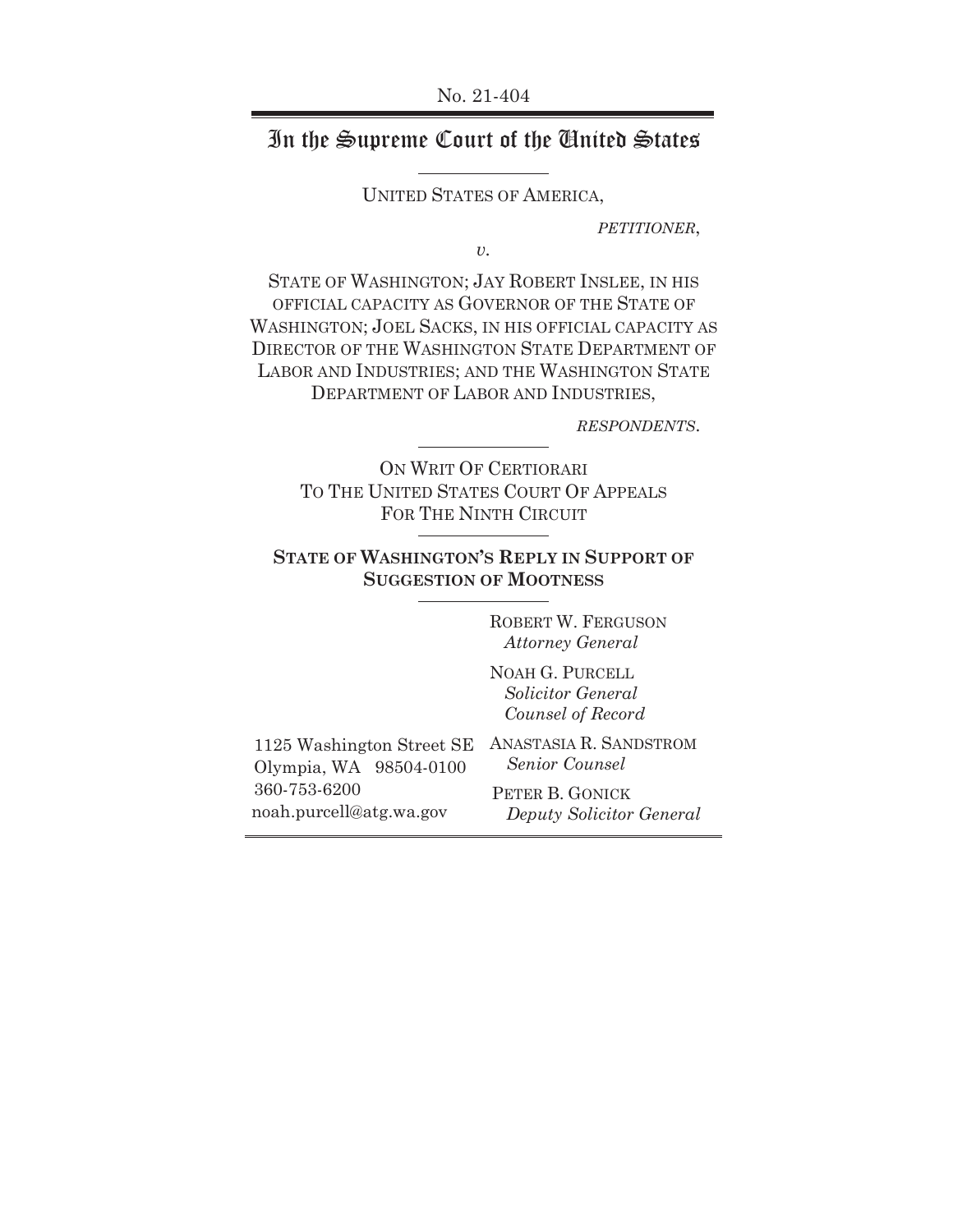# In theSupreme Court of the United States

UNITED STATES OF AMERICA,

*PETITIONER*,

*v.* 

STATE OF WASHINGTON; JAY ROBERT INSLEE, IN HIS OFFICIAL CAPACITY AS GOVERNOR OF THE STATE OF WASHINGTON; JOEL SACKS, IN HIS OFFICIAL CAPACITY AS DIRECTOR OF THE WASHINGTON STATE DEPARTMENT OF LABOR AND INDUSTRIES; AND THE WASHINGTON STATE DEPARTMENT OF LABOR AND INDUSTRIES,

*RESPONDENTS*.

ON WRIT OF CERTIORARI TO THE UNITED STATES COURT OF APPEALS FOR THE NINTH CIRCUIT

### **STATE OF WASHINGTON'S REPLY IN SUPPORT OF SUGGESTION OF MOOTNESS**

ROBERT W. FERGUSON  *Attorney General* 

NOAH G. PURCELL  *Solicitor General Counsel of Record* 

| 1125 Washington Street SE | т, |
|---------------------------|----|
| Olympia, WA 98504-0100    |    |
| 360-753-6200              |    |
| noah.purcell@atg.wa.gov   |    |

ANASTASIA R. SANDSTROM  *Senior Counsel* 

> PETER B. GONICK *Deputy Solicitor General*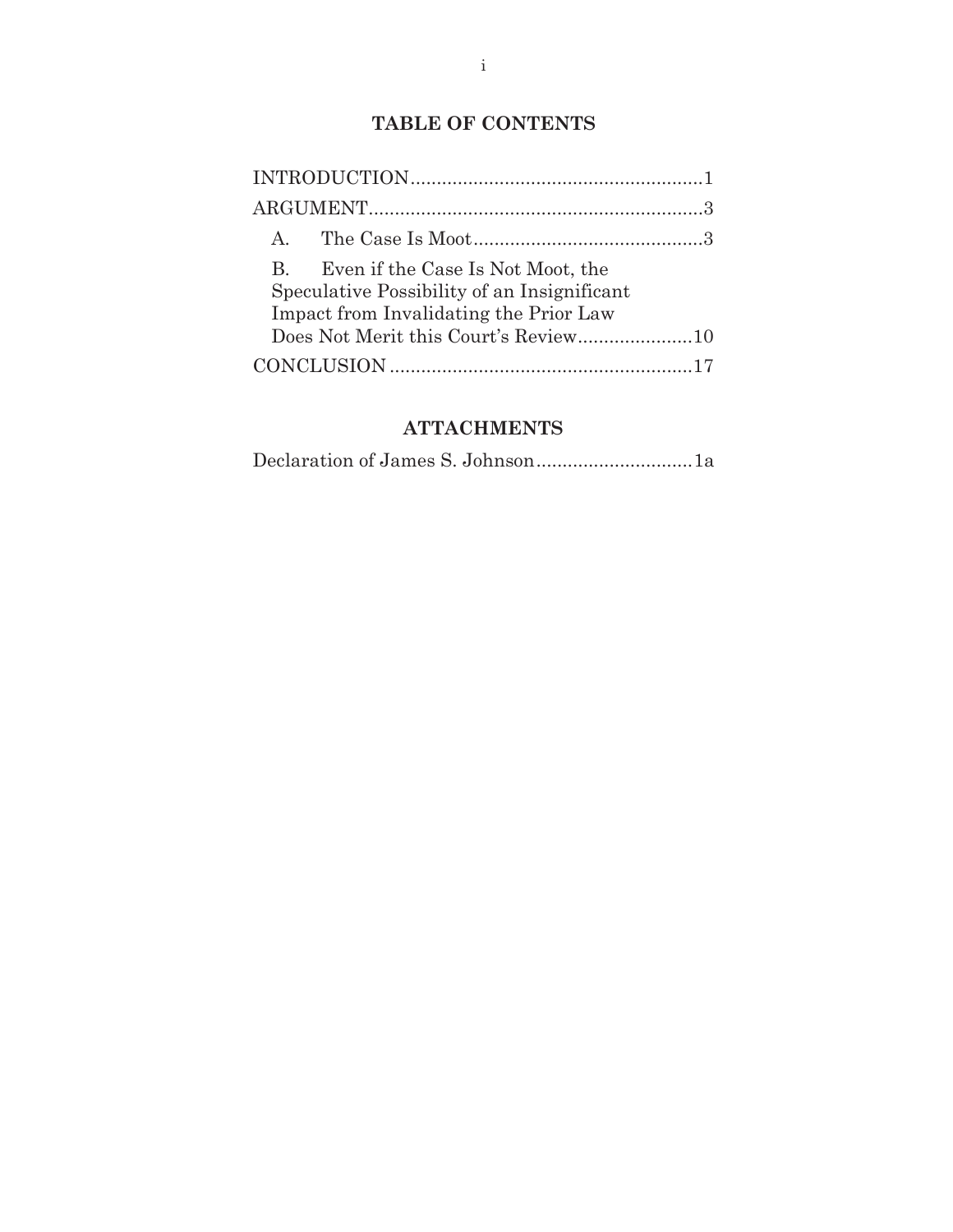# **TABLE OF CONTENTS**

| Even if the Case Is Not Moot, the<br>$\mathbf{B}$<br>Speculative Possibility of an Insignificant<br>Impact from Invalidating the Prior Law |  |
|--------------------------------------------------------------------------------------------------------------------------------------------|--|
|                                                                                                                                            |  |
|                                                                                                                                            |  |

### **ATTACHMENTS**

|--|--|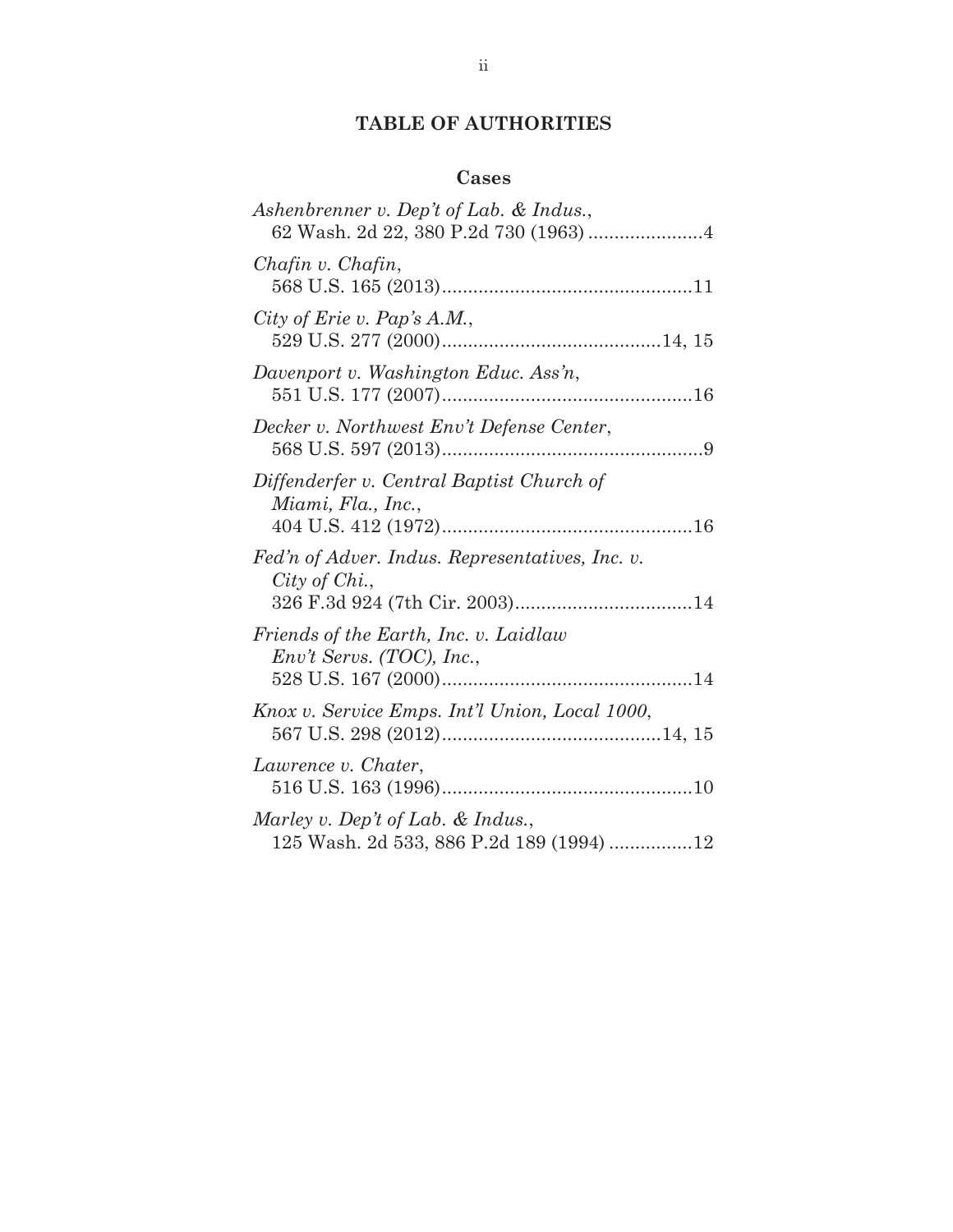# **TABLE OF AUTHORITIES**

### **Cases**

| Ashenbrenner v. Dep't of Lab. & Indus.,                                         |
|---------------------------------------------------------------------------------|
| Chafin v. Chafin,                                                               |
| City of Erie v. Pap's $A.M.$ ,                                                  |
| Davenport v. Washington Educ. Ass'n,                                            |
| Decker v. Northwest Env't Defense Center,                                       |
| Diffenderfer v. Central Baptist Church of<br>Miami, Fla., Inc.,                 |
| Fed'n of Adver. Indus. Representatives, Inc. v.<br>City of Chi.,                |
| Friends of the Earth, Inc. v. Laidlaw<br>$Env't$ Servs. (TOC), Inc.,            |
| Knox v. Service Emps. Int'l Union, Local 1000,                                  |
| Lawrence v. Chater,                                                             |
| Marley v. Dep't of Lab. $&$ Indus.,<br>125 Wash. 2d 533, 886 P.2d 189 (1994) 12 |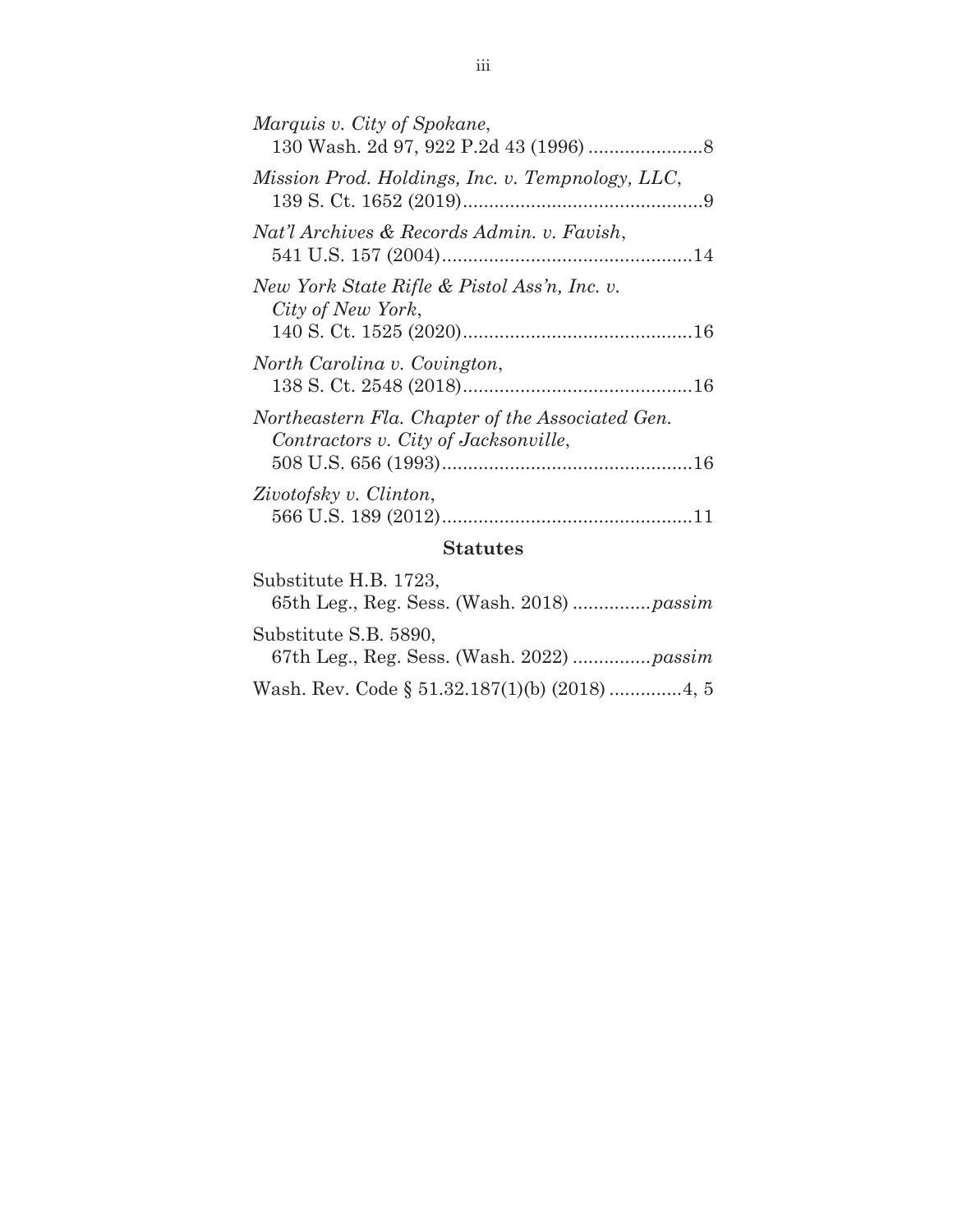| Marquis v. City of Spokane,                                                              |  |
|------------------------------------------------------------------------------------------|--|
| Mission Prod. Holdings, Inc. v. Tempnology, LLC,                                         |  |
| Nat'l Archives & Records Admin. v. Favish,                                               |  |
| New York State Rifle & Pistol Ass'n, Inc. v.<br>City of New York,                        |  |
| North Carolina v. Covington,                                                             |  |
| Northeastern Fla. Chapter of the Associated Gen.<br>Contractors v. City of Jacksonville, |  |
| Zivotofsky v. Clinton,                                                                   |  |
| <b>Statutes</b>                                                                          |  |
| Substitute H R 1723                                                                      |  |

| Substitute H.B. 1723,                         |
|-----------------------------------------------|
|                                               |
| Substitute S.B. 5890,                         |
| Wash. Rev. Code § 51.32.187(1)(b) (2018) 4, 5 |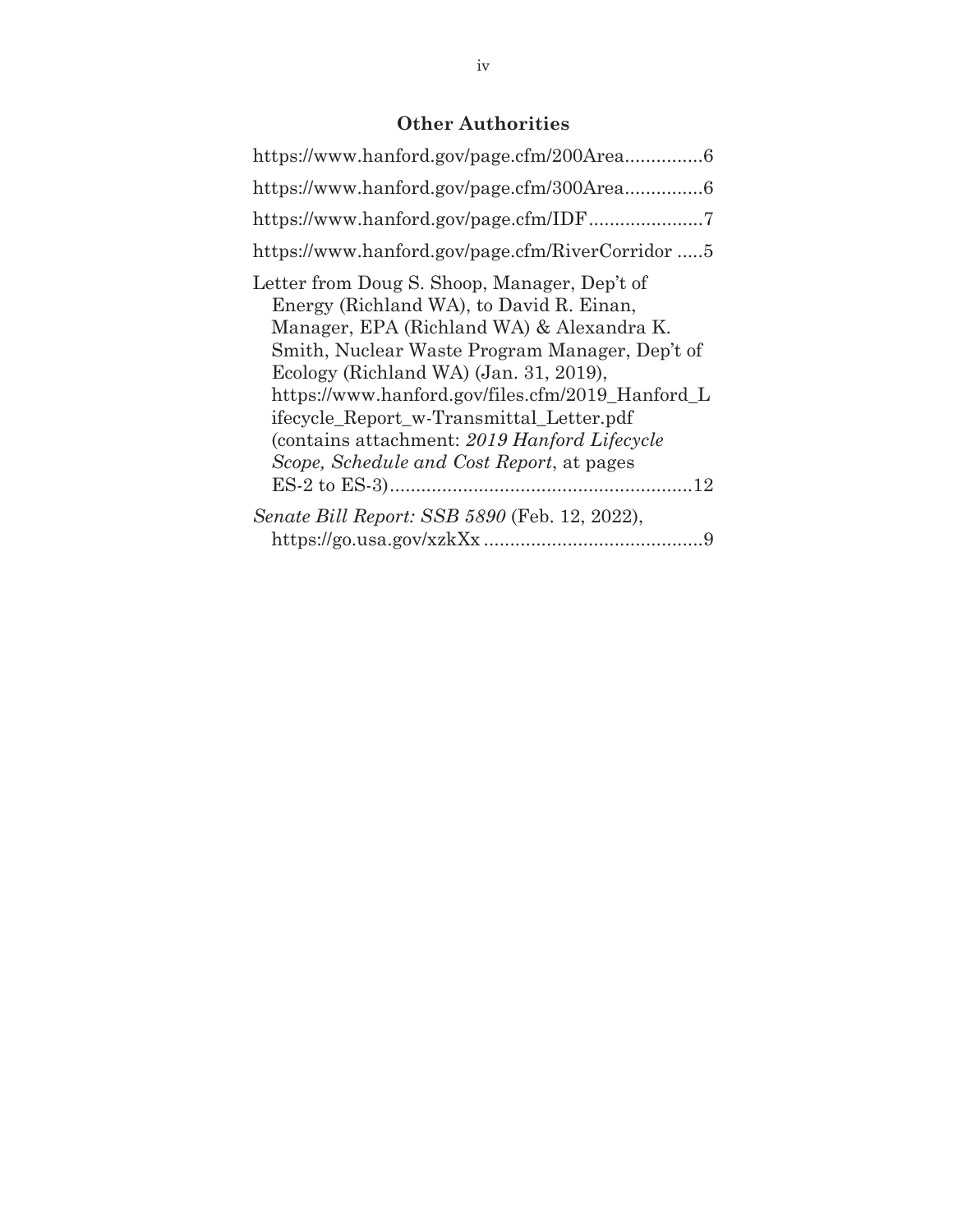## **Other Authorities**

| https://www.hanford.gov/page.cfm/RiverCorridor 5                                                                                                                                                                                                                                                                                                                                                                                |
|---------------------------------------------------------------------------------------------------------------------------------------------------------------------------------------------------------------------------------------------------------------------------------------------------------------------------------------------------------------------------------------------------------------------------------|
| Letter from Doug S. Shoop, Manager, Dep't of<br>Energy (Richland WA), to David R. Einan,<br>Manager, EPA (Richland WA) & Alexandra K.<br>Smith, Nuclear Waste Program Manager, Dep't of<br>Ecology (Richland WA) (Jan. 31, 2019),<br>https://www.hanford.gov/files.cfm/2019_Hanford_L<br>ifecycle Report w-Transmittal Letter.pdf<br>(contains attachment: 2019 Hanford Lifecycle)<br>Scope, Schedule and Cost Report, at pages |
| Senate Bill Report: SSB 5890 (Feb. 12, 2022),<br>9                                                                                                                                                                                                                                                                                                                                                                              |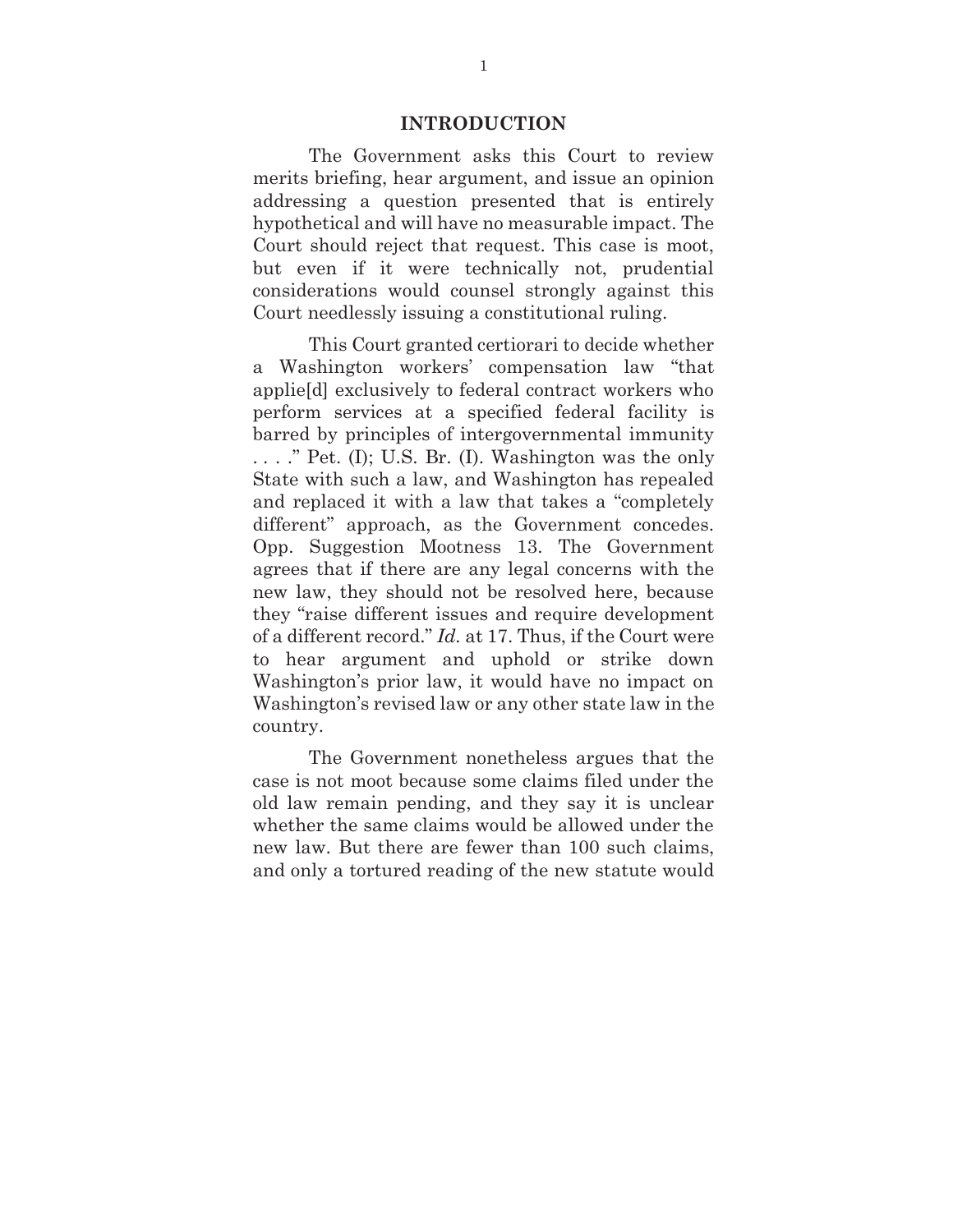#### **INTRODUCTION**

The Government asks this Court to review merits briefing, hear argument, and issue an opinion addressing a question presented that is entirely hypothetical and will have no measurable impact. The Court should reject that request. This case is moot, but even if it were technically not, prudential considerations would counsel strongly against this Court needlessly issuing a constitutional ruling.

This Court granted certiorari to decide whether a Washington workers' compensation law "that applie[d] exclusively to federal contract workers who perform services at a specified federal facility is barred by principles of intergovernmental immunity . . . ." Pet. (I); U.S. Br. (I). Washington was the only State with such a law, and Washington has repealed and replaced it with a law that takes a "completely different" approach, as the Government concedes. Opp. Suggestion Mootness 13. The Government agrees that if there are any legal concerns with the new law, they should not be resolved here, because they "raise different issues and require development of a different record." *Id.* at 17. Thus, if the Court were to hear argument and uphold or strike down Washington's prior law, it would have no impact on Washington's revised law or any other state law in the country.

The Government nonetheless argues that the case is not moot because some claims filed under the old law remain pending, and they say it is unclear whether the same claims would be allowed under the new law. But there are fewer than 100 such claims, and only a tortured reading of the new statute would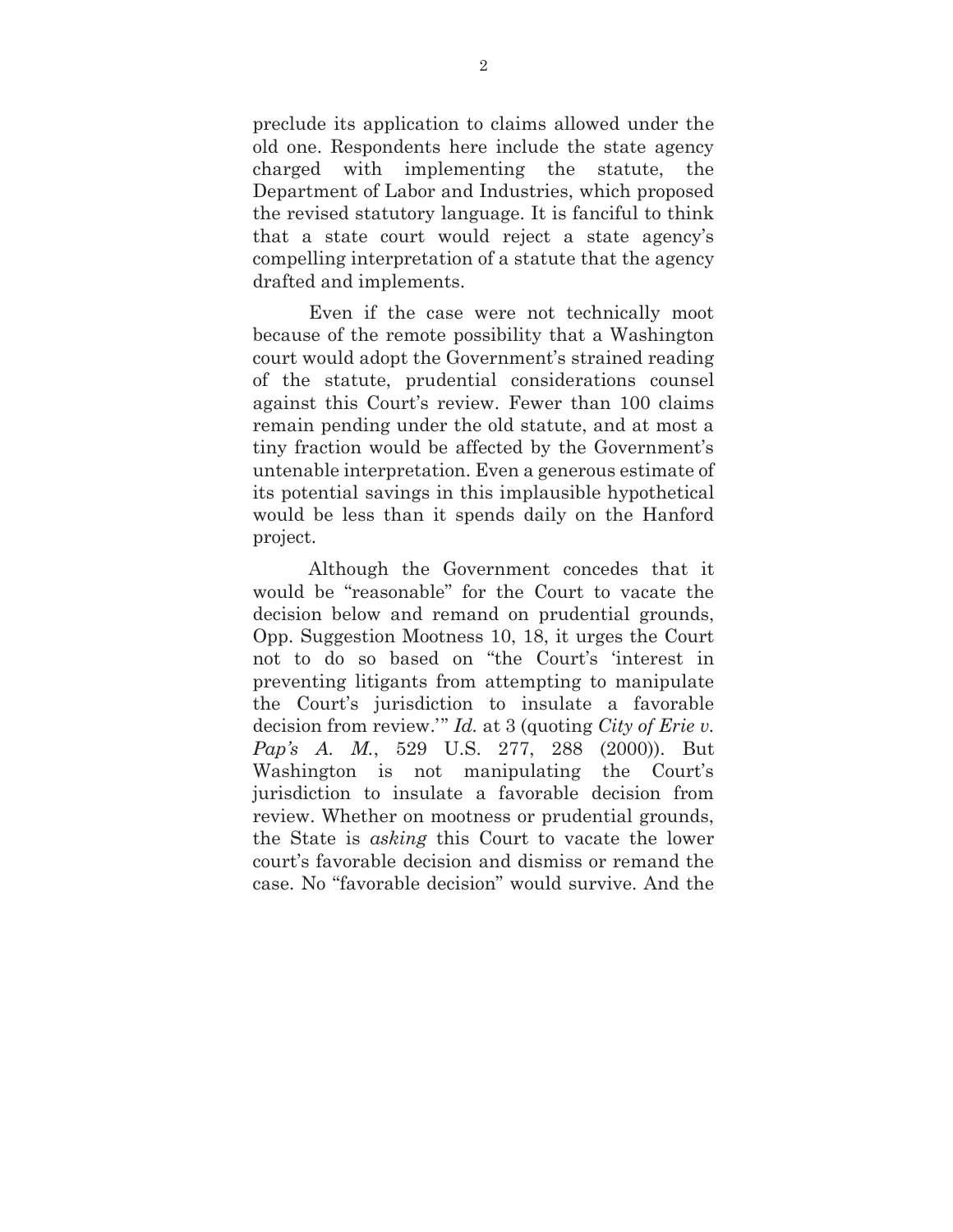preclude its application to claims allowed under the old one. Respondents here include the state agency charged with implementing the statute, the Department of Labor and Industries, which proposed the revised statutory language. It is fanciful to think that a state court would reject a state agency's compelling interpretation of a statute that the agency drafted and implements.

Even if the case were not technically moot because of the remote possibility that a Washington court would adopt the Government's strained reading of the statute, prudential considerations counsel against this Court's review. Fewer than 100 claims remain pending under the old statute, and at most a tiny fraction would be affected by the Government's untenable interpretation. Even a generous estimate of its potential savings in this implausible hypothetical would be less than it spends daily on the Hanford project.

Although the Government concedes that it would be "reasonable" for the Court to vacate the decision below and remand on prudential grounds, Opp. Suggestion Mootness 10, 18, it urges the Court not to do so based on "the Court's 'interest in preventing litigants from attempting to manipulate the Court's jurisdiction to insulate a favorable decision from review.'" *Id.* at 3 (quoting *City of Erie v. Pap's A. M.*, 529 U.S. 277, 288 (2000)). But Washington is not manipulating the Court's jurisdiction to insulate a favorable decision from review. Whether on mootness or prudential grounds, the State is *asking* this Court to vacate the lower court's favorable decision and dismiss or remand the case. No "favorable decision" would survive. And the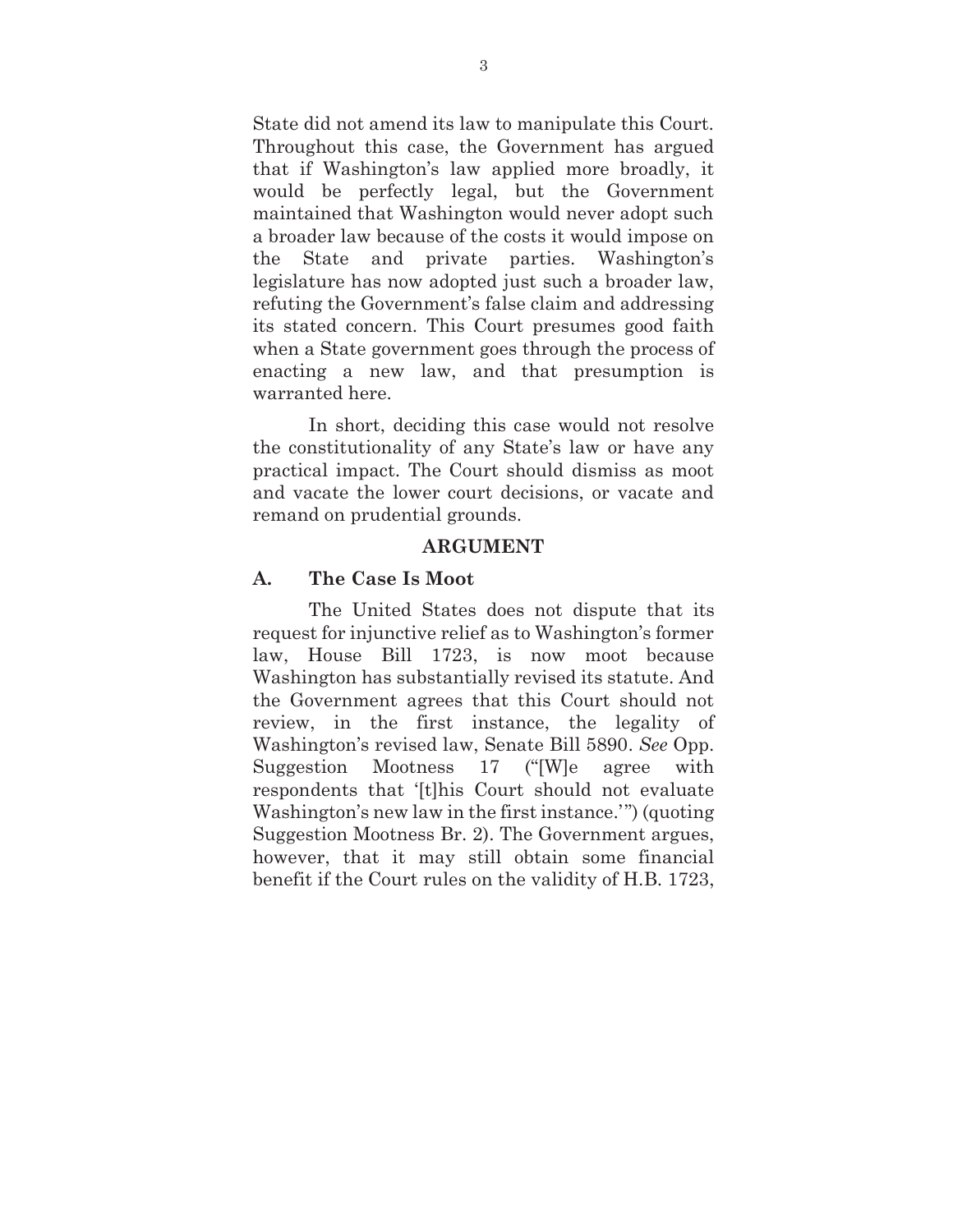State did not amend its law to manipulate this Court. Throughout this case, the Government has argued that if Washington's law applied more broadly, it would be perfectly legal, but the Government maintained that Washington would never adopt such a broader law because of the costs it would impose on the State and private parties. Washington's legislature has now adopted just such a broader law, refuting the Government's false claim and addressing its stated concern. This Court presumes good faith when a State government goes through the process of enacting a new law, and that presumption is warranted here.

In short, deciding this case would not resolve the constitutionality of any State's law or have any practical impact. The Court should dismiss as moot and vacate the lower court decisions, or vacate and remand on prudential grounds.

#### **ARGUMENT**

#### **A. The Case Is Moot**

The United States does not dispute that its request for injunctive relief as to Washington's former law, House Bill 1723, is now moot because Washington has substantially revised its statute. And the Government agrees that this Court should not review, in the first instance, the legality of Washington's revised law, Senate Bill 5890. *See* Opp. Suggestion Mootness 17 ("[W]e agree with respondents that '[t]his Court should not evaluate Washington's new law in the first instance.'") (quoting Suggestion Mootness Br. 2). The Government argues, however, that it may still obtain some financial benefit if the Court rules on the validity of H.B. 1723,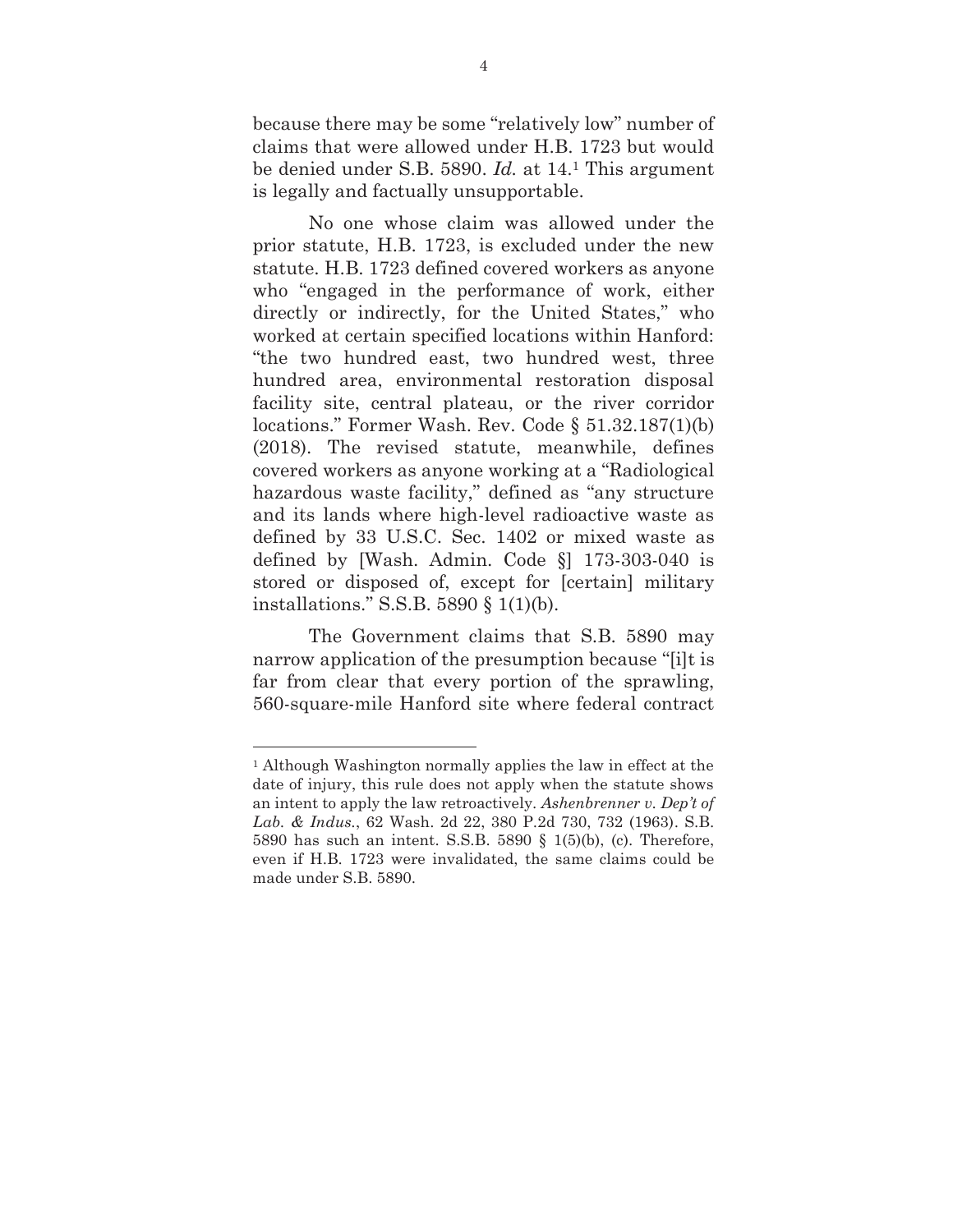because there may be some "relatively low" number of claims that were allowed under H.B. 1723 but would be denied under S.B. 5890. *Id.* at 14.1 This argument is legally and factually unsupportable.

No one whose claim was allowed under the prior statute, H.B. 1723, is excluded under the new statute. H.B. 1723 defined covered workers as anyone who "engaged in the performance of work, either directly or indirectly, for the United States," who worked at certain specified locations within Hanford: "the two hundred east, two hundred west, three hundred area, environmental restoration disposal facility site, central plateau, or the river corridor locations." Former Wash. Rev. Code § 51.32.187(1)(b) (2018). The revised statute, meanwhile, defines covered workers as anyone working at a "Radiological hazardous waste facility," defined as "any structure and its lands where high-level radioactive waste as defined by 33 U.S.C. Sec. 1402 or mixed waste as defined by [Wash. Admin. Code §] 173-303-040 is stored or disposed of, except for [certain] military installations." S.S.B. 5890 § 1(1)(b).

The Government claims that S.B. 5890 may narrow application of the presumption because "[i]t is far from clear that every portion of the sprawling, 560-square-mile Hanford site where federal contract

 $\overline{a}$ 

<sup>1</sup> Although Washington normally applies the law in effect at the date of injury, this rule does not apply when the statute shows an intent to apply the law retroactively. *Ashenbrenner v. Dep't of Lab. & Indus.*, 62 Wash. 2d 22, 380 P.2d 730, 732 (1963). S.B. 5890 has such an intent. S.S.B. 5890 § 1(5)(b), (c). Therefore, even if H.B. 1723 were invalidated, the same claims could be made under S.B. 5890.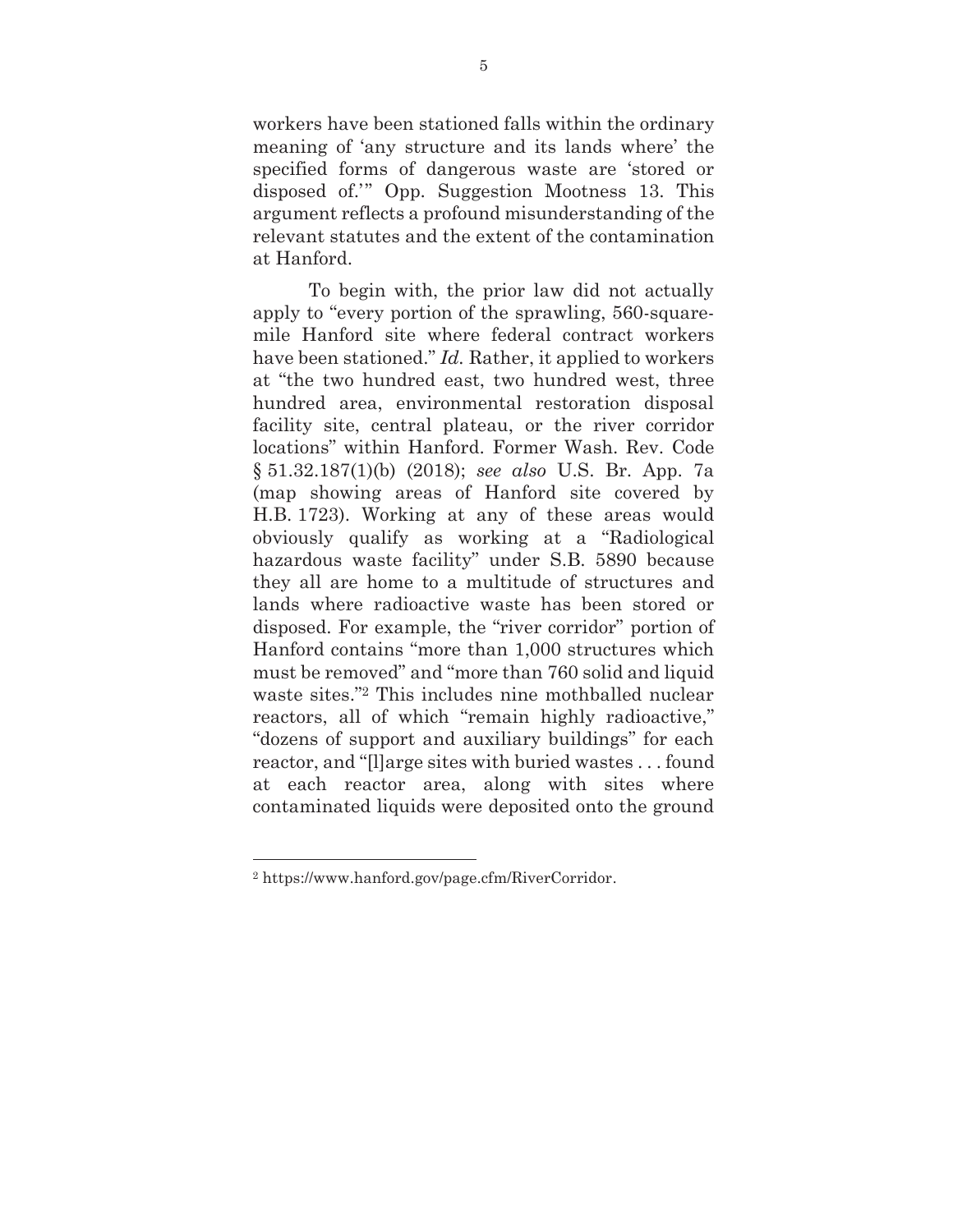workers have been stationed falls within the ordinary meaning of 'any structure and its lands where' the specified forms of dangerous waste are 'stored or disposed of.'" Opp. Suggestion Mootness 13. This argument reflects a profound misunderstanding of the relevant statutes and the extent of the contamination at Hanford.

To begin with, the prior law did not actually apply to "every portion of the sprawling, 560-squaremile Hanford site where federal contract workers have been stationed." *Id.* Rather, it applied to workers at "the two hundred east, two hundred west, three hundred area, environmental restoration disposal facility site, central plateau, or the river corridor locations" within Hanford. Former Wash. Rev. Code § 51.32.187(1)(b) (2018); *see also* U.S. Br. App. 7a (map showing areas of Hanford site covered by H.B. 1723). Working at any of these areas would obviously qualify as working at a "Radiological hazardous waste facility" under S.B. 5890 because they all are home to a multitude of structures and lands where radioactive waste has been stored or disposed. For example, the "river corridor" portion of Hanford contains "more than 1,000 structures which must be removed" and "more than 760 solid and liquid waste sites."2 This includes nine mothballed nuclear reactors, all of which "remain highly radioactive," "dozens of support and auxiliary buildings" for each reactor, and "[l]arge sites with buried wastes . . . found at each reactor area, along with sites where contaminated liquids were deposited onto the ground

 $\overline{a}$ 

<sup>2</sup> https://www.hanford.gov/page.cfm/RiverCorridor.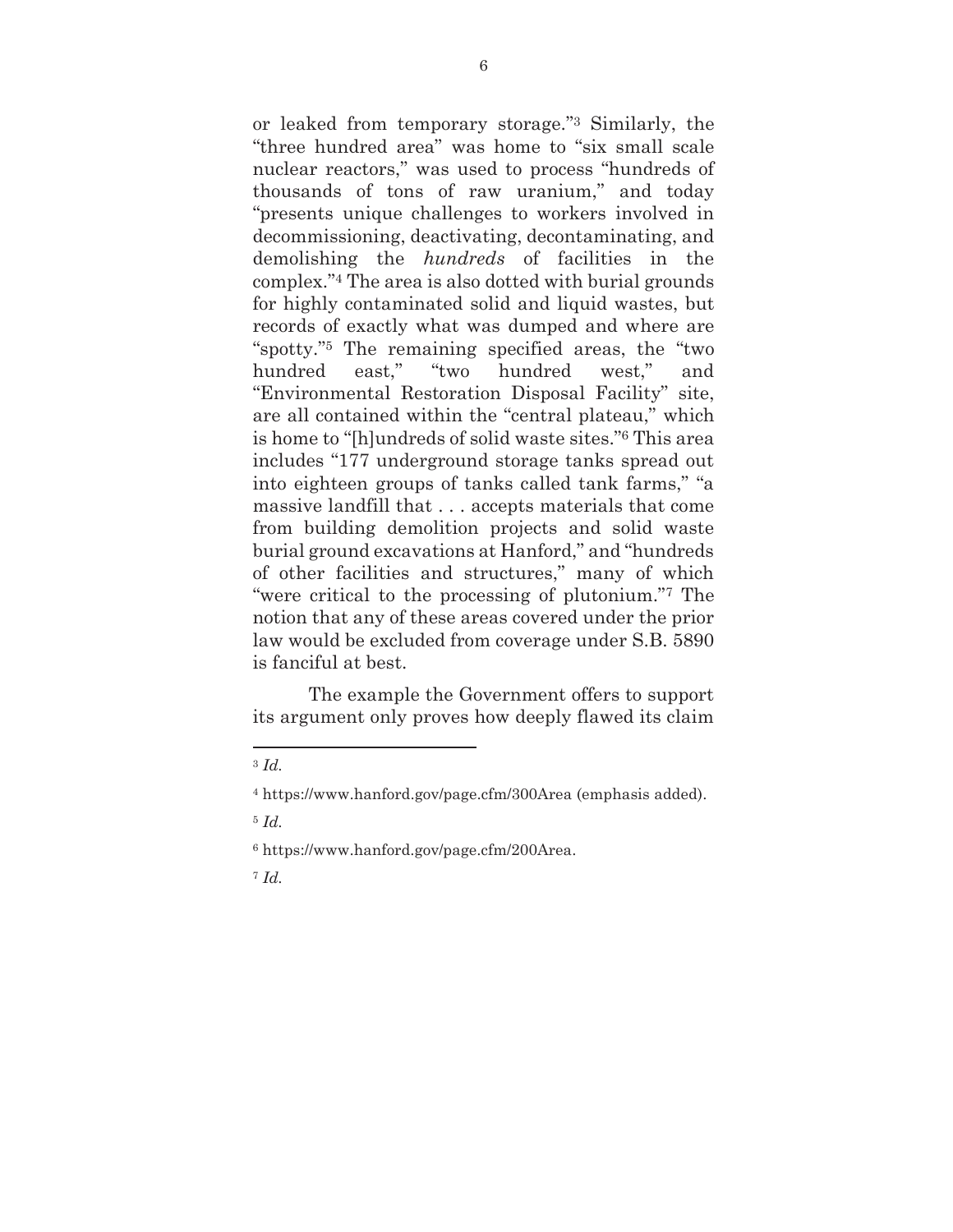or leaked from temporary storage."3 Similarly, the "three hundred area" was home to "six small scale nuclear reactors," was used to process "hundreds of thousands of tons of raw uranium," and today "presents unique challenges to workers involved in decommissioning, deactivating, decontaminating, and demolishing the *hundreds* of facilities in the complex."4 The area is also dotted with burial grounds for highly contaminated solid and liquid wastes, but records of exactly what was dumped and where are "spotty."5 The remaining specified areas, the "two hundred east," "two hundred west," and "Environmental Restoration Disposal Facility" site, are all contained within the "central plateau," which is home to "[h]undreds of solid waste sites."6 This area includes "177 underground storage tanks spread out into eighteen groups of tanks called tank farms," "a massive landfill that . . . accepts materials that come from building demolition projects and solid waste burial ground excavations at Hanford," and "hundreds of other facilities and structures," many of which "were critical to the processing of plutonium."7 The notion that any of these areas covered under the prior law would be excluded from coverage under S.B. 5890 is fanciful at best.

The example the Government offers to support its argument only proves how deeply flawed its claim

 $\overline{a}$ 

6 https://www.hanford.gov/page.cfm/200Area.

<sup>7</sup> *Id.*

<sup>3</sup> *Id.*

<sup>4</sup> https://www.hanford.gov/page.cfm/300Area (emphasis added).

<sup>5</sup> *Id.*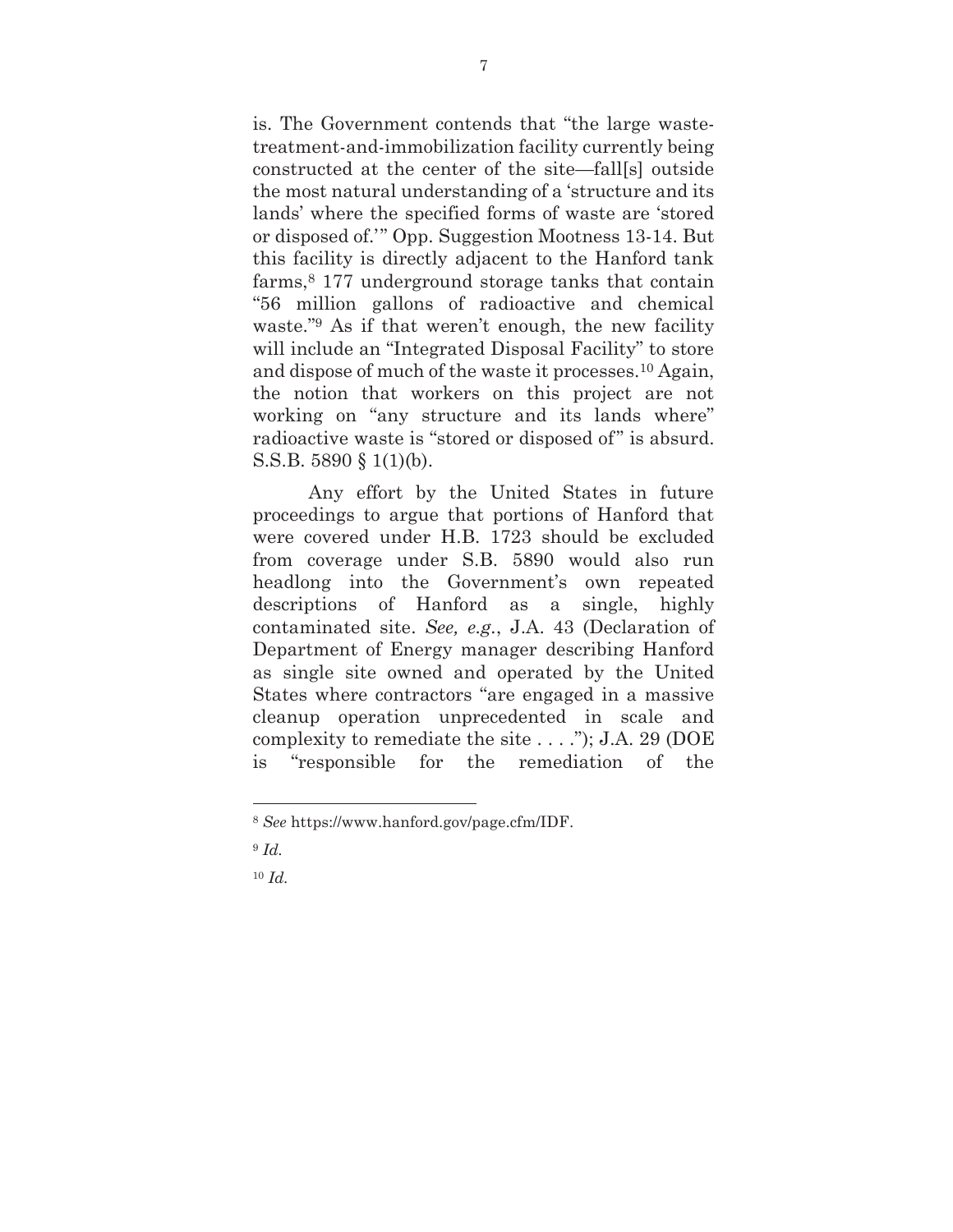is. The Government contends that "the large wastetreatment-and-immobilization facility currently being constructed at the center of the site—fall[s] outside the most natural understanding of a 'structure and its lands' where the specified forms of waste are 'stored or disposed of.'" Opp. Suggestion Mootness 13-14. But this facility is directly adjacent to the Hanford tank farms,8 177 underground storage tanks that contain "56 million gallons of radioactive and chemical waste."9 As if that weren't enough, the new facility will include an "Integrated Disposal Facility" to store and dispose of much of the waste it processes.10 Again, the notion that workers on this project are not working on "any structure and its lands where" radioactive waste is "stored or disposed of" is absurd. S.S.B. 5890 § 1(1)(b).

Any effort by the United States in future proceedings to argue that portions of Hanford that were covered under H.B. 1723 should be excluded from coverage under S.B. 5890 would also run headlong into the Government's own repeated descriptions of Hanford as a single, highly contaminated site. *See, e.g.*, J.A. 43 (Declaration of Department of Energy manager describing Hanford as single site owned and operated by the United States where contractors "are engaged in a massive cleanup operation unprecedented in scale and complexity to remediate the site . . . ."); J.A. 29 (DOE is "responsible for the remediation of the

 $\overline{a}$ 

<sup>10</sup> *Id.* 

<sup>8</sup> *See* https://www.hanford.gov/page.cfm/IDF.

<sup>9</sup> *Id.*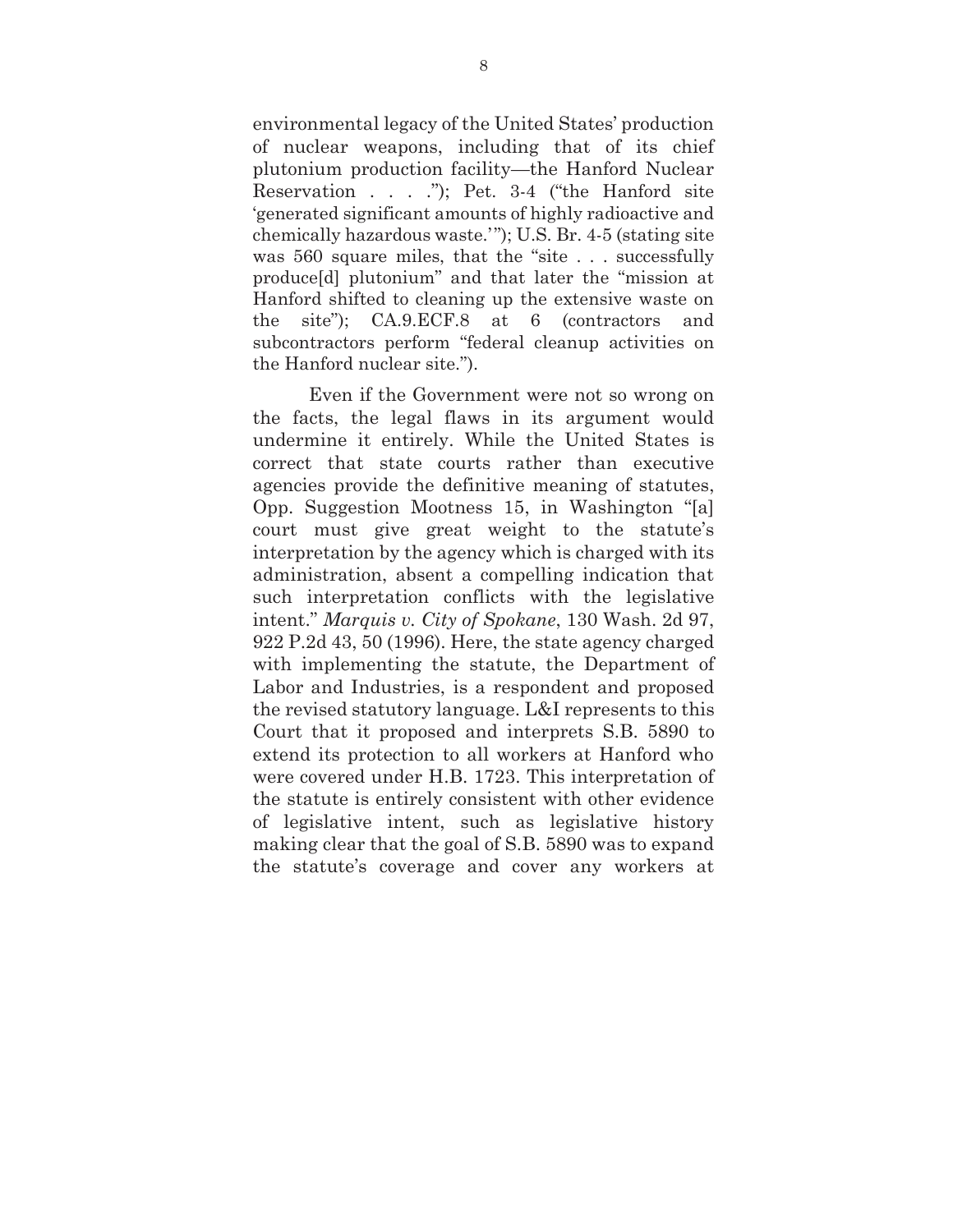environmental legacy of the United States' production of nuclear weapons, including that of its chief plutonium production facility—the Hanford Nuclear Reservation . . . ."); Pet. 3-4 ("the Hanford site 'generated significant amounts of highly radioactive and chemically hazardous waste.' "); U.S. Br. 4-5 (stating site was 560 square miles, that the "site . . . successfully produce[d] plutonium" and that later the "mission at Hanford shifted to cleaning up the extensive waste on the site"); CA.9.ECF.8 at 6 (contractors and subcontractors perform "federal cleanup activities on the Hanford nuclear site.").

Even if the Government were not so wrong on the facts, the legal flaws in its argument would undermine it entirely. While the United States is correct that state courts rather than executive agencies provide the definitive meaning of statutes, Opp. Suggestion Mootness 15, in Washington "[a] court must give great weight to the statute's interpretation by the agency which is charged with its administration, absent a compelling indication that such interpretation conflicts with the legislative intent." *Marquis v. City of Spokane*, 130 Wash. 2d 97, 922 P.2d 43, 50 (1996). Here, the state agency charged with implementing the statute, the Department of Labor and Industries, is a respondent and proposed the revised statutory language. L&I represents to this Court that it proposed and interprets S.B. 5890 to extend its protection to all workers at Hanford who were covered under H.B. 1723. This interpretation of the statute is entirely consistent with other evidence of legislative intent, such as legislative history making clear that the goal of S.B. 5890 was to expand the statute's coverage and cover any workers at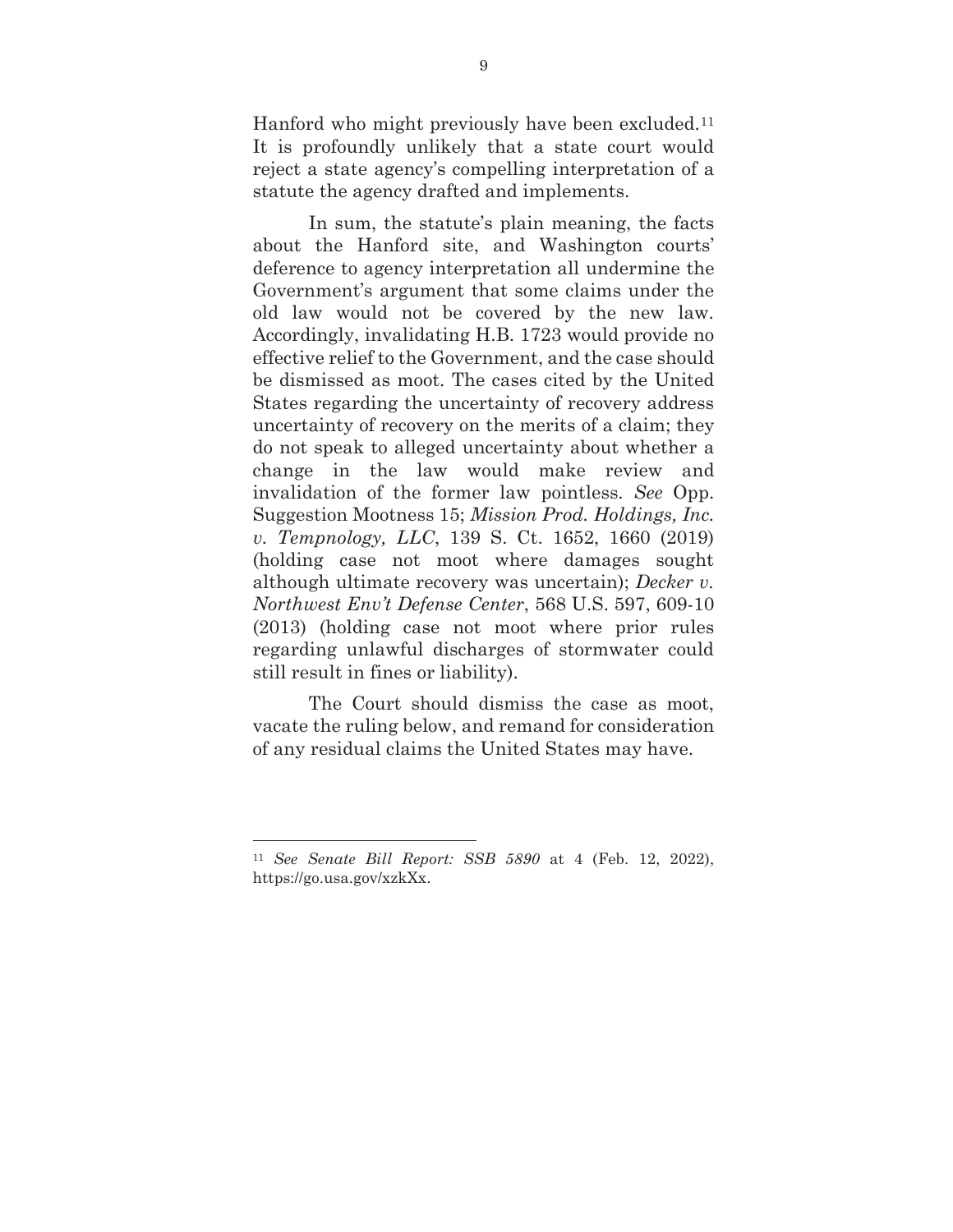Hanford who might previously have been excluded.<sup>11</sup> It is profoundly unlikely that a state court would reject a state agency's compelling interpretation of a statute the agency drafted and implements.

In sum, the statute's plain meaning, the facts about the Hanford site, and Washington courts' deference to agency interpretation all undermine the Government's argument that some claims under the old law would not be covered by the new law. Accordingly, invalidating H.B. 1723 would provide no effective relief to the Government, and the case should be dismissed as moot. The cases cited by the United States regarding the uncertainty of recovery address uncertainty of recovery on the merits of a claim; they do not speak to alleged uncertainty about whether a change in the law would make review and invalidation of the former law pointless. *See* Opp. Suggestion Mootness 15; *Mission Prod. Holdings, Inc. v. Tempnology, LLC*, 139 S. Ct. 1652, 1660 (2019) (holding case not moot where damages sought although ultimate recovery was uncertain); *Decker v. Northwest Env't Defense Center*, 568 U.S. 597, 609-10 (2013) (holding case not moot where prior rules regarding unlawful discharges of stormwater could still result in fines or liability).

The Court should dismiss the case as moot, vacate the ruling below, and remand for consideration of any residual claims the United States may have.

 $\overline{a}$ 

<sup>11</sup> *See Senate Bill Report: SSB 5890* at 4 (Feb. 12, 2022), https://go.usa.gov/xzkXx.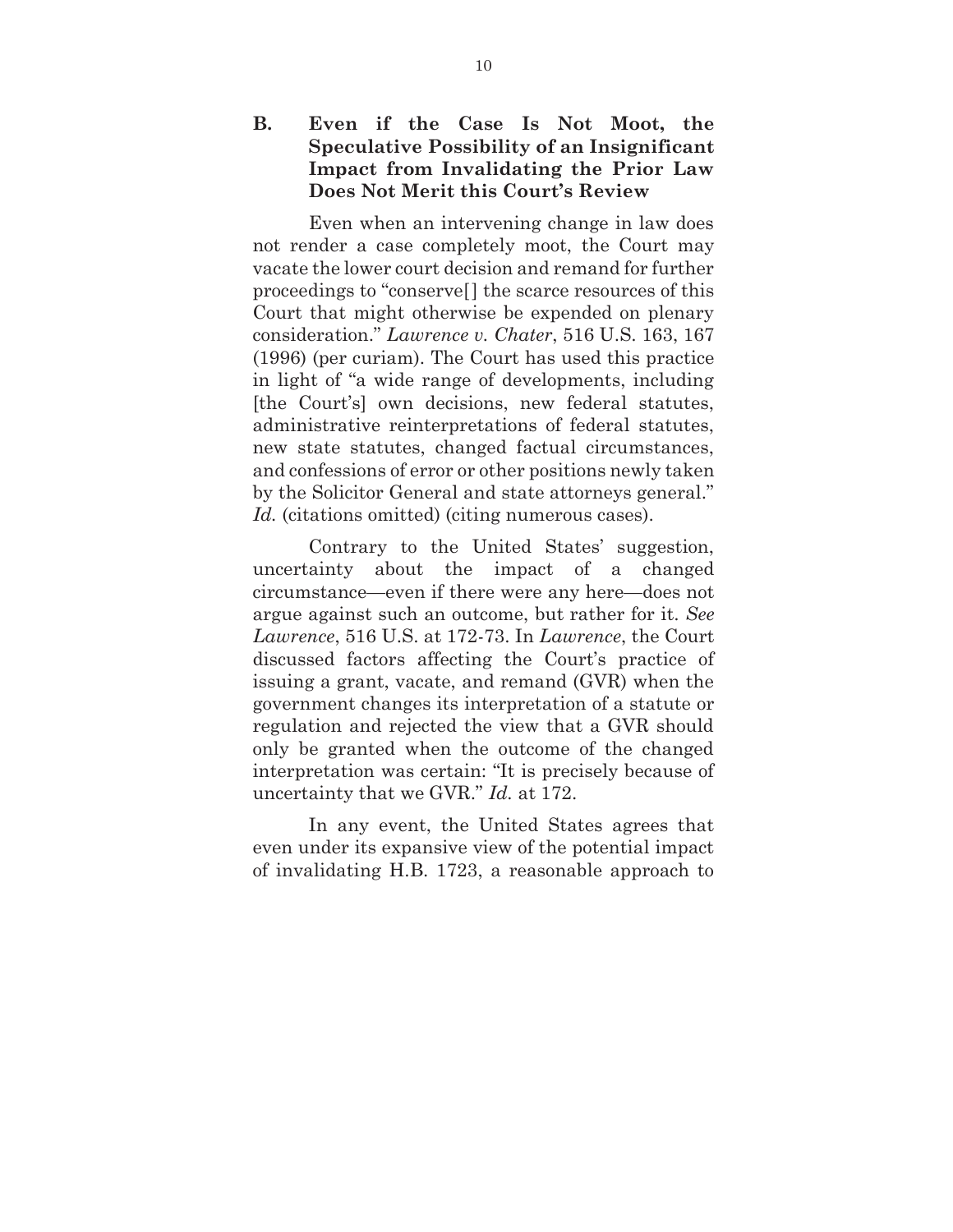### **B. Even if the Case Is Not Moot, the Speculative Possibility of an Insignificant Impact from Invalidating the Prior Law Does Not Merit this Court's Review**

Even when an intervening change in law does not render a case completely moot, the Court may vacate the lower court decision and remand for further proceedings to "conserve[] the scarce resources of this Court that might otherwise be expended on plenary consideration." *Lawrence v. Chater*, 516 U.S. 163, 167 (1996) (per curiam). The Court has used this practice in light of "a wide range of developments, including [the Court's] own decisions, new federal statutes, administrative reinterpretations of federal statutes, new state statutes, changed factual circumstances, and confessions of error or other positions newly taken by the Solicitor General and state attorneys general." Id. (citations omitted) (citing numerous cases).

Contrary to the United States' suggestion, uncertainty about the impact of a changed circumstance—even if there were any here—does not argue against such an outcome, but rather for it. *See Lawrence*, 516 U.S. at 172-73. In *Lawrence*, the Court discussed factors affecting the Court's practice of issuing a grant, vacate, and remand (GVR) when the government changes its interpretation of a statute or regulation and rejected the view that a GVR should only be granted when the outcome of the changed interpretation was certain: "It is precisely because of uncertainty that we GVR." *Id.* at 172.

In any event, the United States agrees that even under its expansive view of the potential impact of invalidating H.B. 1723, a reasonable approach to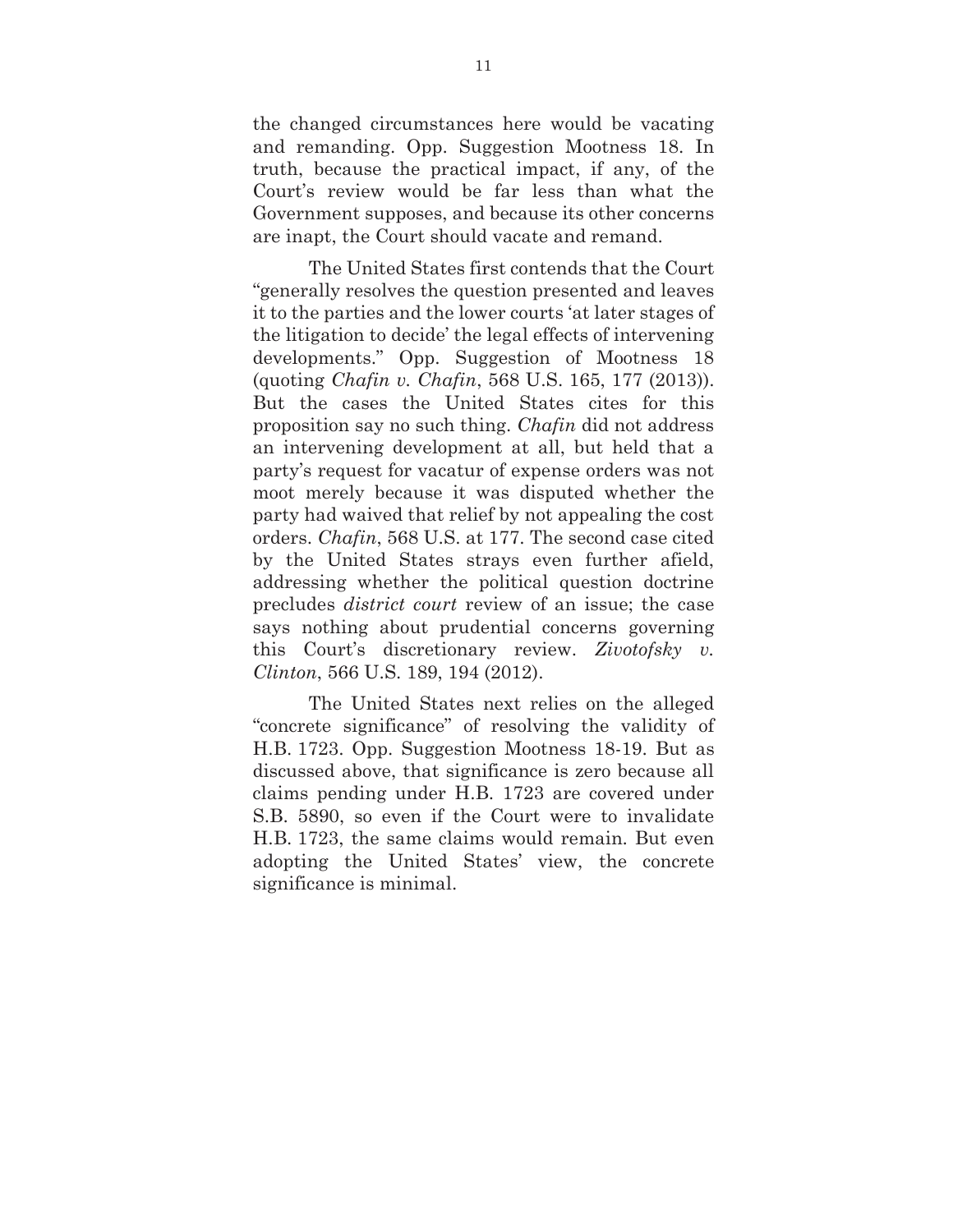the changed circumstances here would be vacating and remanding. Opp. Suggestion Mootness 18. In truth, because the practical impact, if any, of the Court's review would be far less than what the Government supposes, and because its other concerns are inapt, the Court should vacate and remand.

The United States first contends that the Court "generally resolves the question presented and leaves it to the parties and the lower courts 'at later stages of the litigation to decide' the legal effects of intervening developments." Opp. Suggestion of Mootness 18 (quoting *Chafin v. Chafin*, 568 U.S. 165, 177 (2013)). But the cases the United States cites for this proposition say no such thing. *Chafin* did not address an intervening development at all, but held that a party's request for vacatur of expense orders was not moot merely because it was disputed whether the party had waived that relief by not appealing the cost orders. *Chafin*, 568 U.S. at 177. The second case cited by the United States strays even further afield, addressing whether the political question doctrine precludes *district court* review of an issue; the case says nothing about prudential concerns governing this Court's discretionary review. *Zivotofsky v. Clinton*, 566 U.S. 189, 194 (2012).

The United States next relies on the alleged "concrete significance" of resolving the validity of H.B. 1723. Opp. Suggestion Mootness 18-19. But as discussed above, that significance is zero because all claims pending under H.B. 1723 are covered under S.B. 5890, so even if the Court were to invalidate H.B. 1723, the same claims would remain. But even adopting the United States' view, the concrete significance is minimal.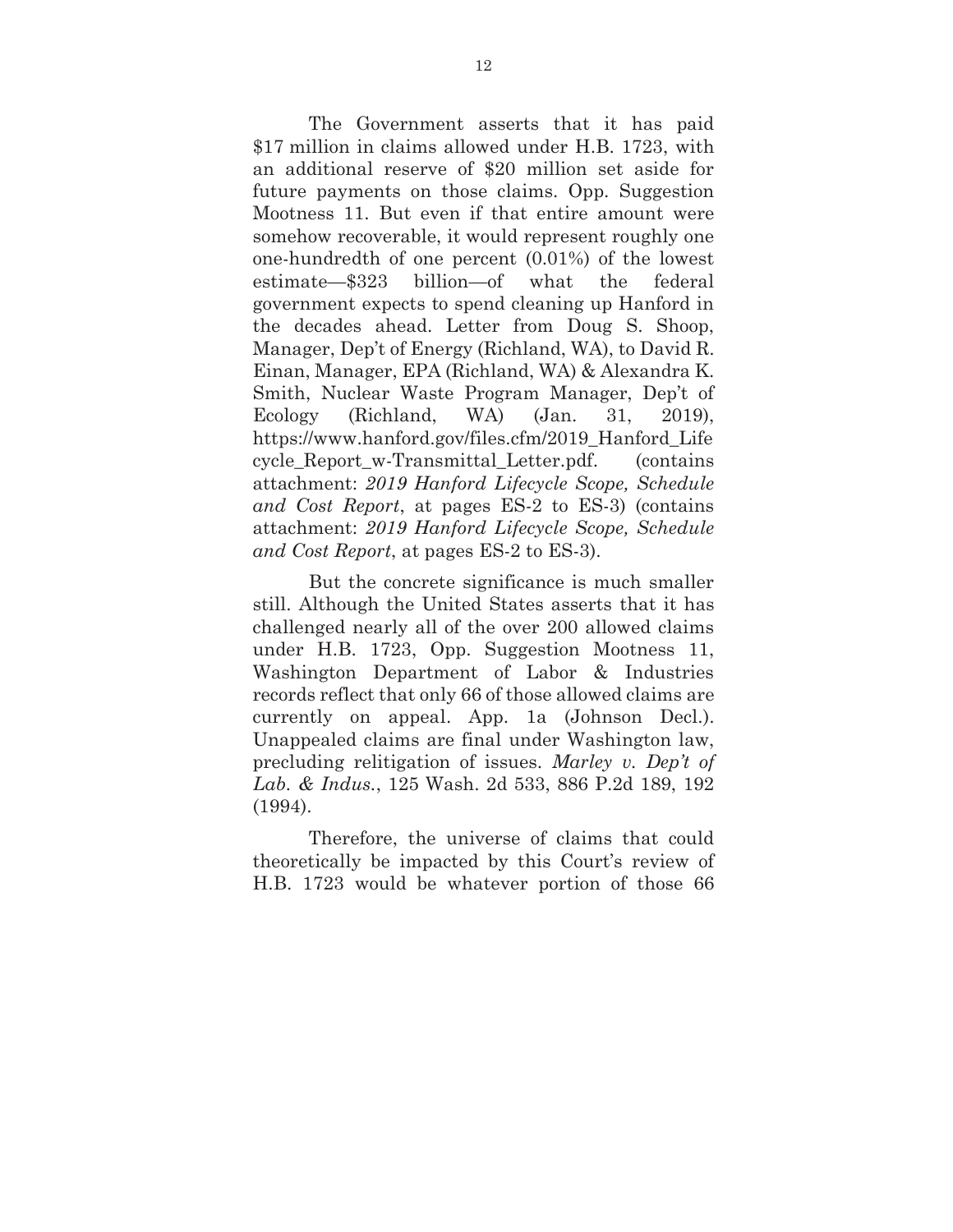The Government asserts that it has paid \$17 million in claims allowed under H.B. 1723, with an additional reserve of \$20 million set aside for future payments on those claims. Opp. Suggestion Mootness 11. But even if that entire amount were somehow recoverable, it would represent roughly one one-hundredth of one percent (0.01%) of the lowest estimate—\$323 billion—of what the federal government expects to spend cleaning up Hanford in the decades ahead. Letter from Doug S. Shoop, Manager, Dep't of Energy (Richland, WA), to David R. Einan, Manager, EPA (Richland, WA) & Alexandra K. Smith, Nuclear Waste Program Manager, Dep't of Ecology (Richland, WA) (Jan. 31, 2019), https://www.hanford.gov/files.cfm/2019\_Hanford\_Life cycle\_Report\_w-Transmittal\_Letter.pdf. (contains attachment: *2019 Hanford Lifecycle Scope, Schedule and Cost Report*, at pages ES-2 to ES-3) (contains attachment: *2019 Hanford Lifecycle Scope, Schedule and Cost Report*, at pages ES-2 to ES-3).

But the concrete significance is much smaller still. Although the United States asserts that it has challenged nearly all of the over 200 allowed claims under H.B. 1723, Opp. Suggestion Mootness 11, Washington Department of Labor & Industries records reflect that only 66 of those allowed claims are currently on appeal. App. 1a (Johnson Decl.). Unappealed claims are final under Washington law, precluding relitigation of issues. *Marley v. Dep't of Lab. & Indus.*, 125 Wash. 2d 533, 886 P.2d 189, 192 (1994).

 Therefore, the universe of claims that could theoretically be impacted by this Court's review of H.B. 1723 would be whatever portion of those 66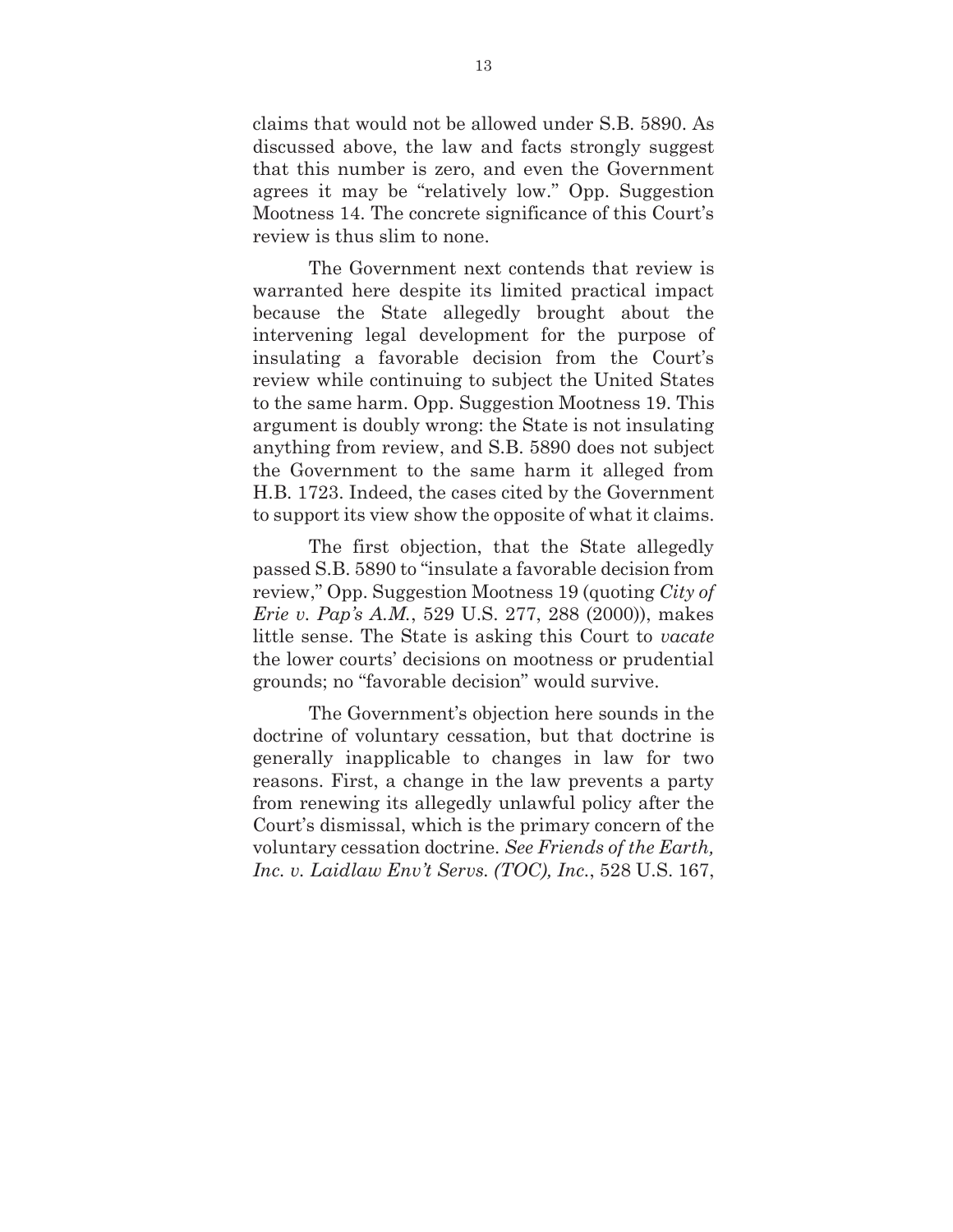claims that would not be allowed under S.B. 5890. As discussed above, the law and facts strongly suggest that this number is zero, and even the Government agrees it may be "relatively low." Opp. Suggestion Mootness 14. The concrete significance of this Court's review is thus slim to none.

 The Government next contends that review is warranted here despite its limited practical impact because the State allegedly brought about the intervening legal development for the purpose of insulating a favorable decision from the Court's review while continuing to subject the United States to the same harm. Opp. Suggestion Mootness 19. This argument is doubly wrong: the State is not insulating anything from review, and S.B. 5890 does not subject the Government to the same harm it alleged from H.B. 1723. Indeed, the cases cited by the Government to support its view show the opposite of what it claims.

The first objection, that the State allegedly passed S.B. 5890 to "insulate a favorable decision from review," Opp. Suggestion Mootness 19 (quoting *City of Erie v. Pap's A.M.*, 529 U.S. 277, 288 (2000)), makes little sense. The State is asking this Court to *vacate* the lower courts' decisions on mootness or prudential grounds; no "favorable decision" would survive.

The Government's objection here sounds in the doctrine of voluntary cessation, but that doctrine is generally inapplicable to changes in law for two reasons. First, a change in the law prevents a party from renewing its allegedly unlawful policy after the Court's dismissal, which is the primary concern of the voluntary cessation doctrine. *See Friends of the Earth, Inc. v. Laidlaw Env't Servs. (TOC), Inc.*, 528 U.S. 167,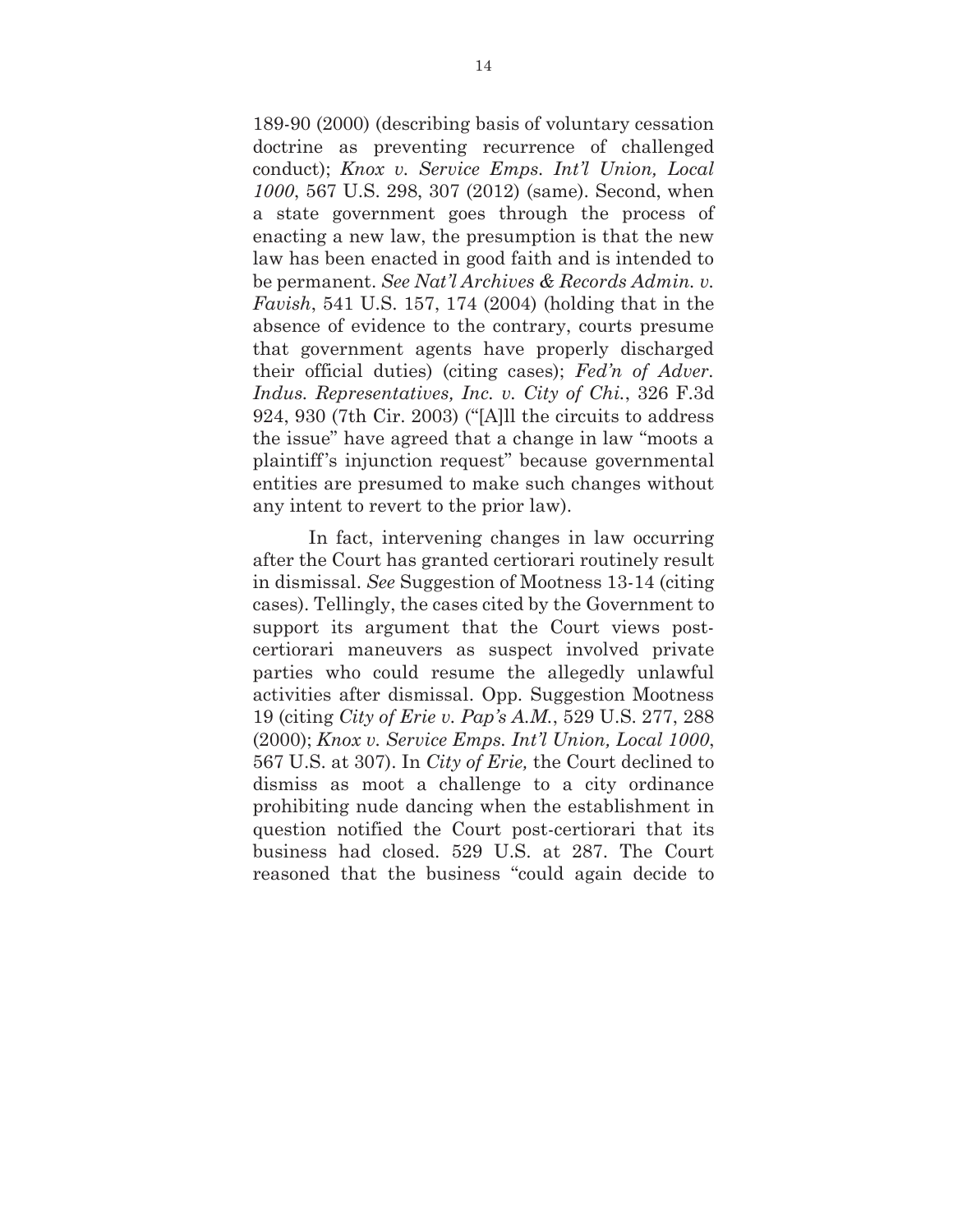189-90 (2000) (describing basis of voluntary cessation doctrine as preventing recurrence of challenged conduct); *Knox v. Service Emps. Int'l Union, Local 1000*, 567 U.S. 298, 307 (2012) (same). Second, when a state government goes through the process of enacting a new law, the presumption is that the new law has been enacted in good faith and is intended to be permanent. *See Nat'l Archives & Records Admin. v. Favish*, 541 U.S. 157, 174 (2004) (holding that in the absence of evidence to the contrary, courts presume that government agents have properly discharged their official duties) (citing cases); *Fed'n of Adver. Indus. Representatives, Inc. v. City of Chi.*, 326 F.3d 924, 930 (7th Cir. 2003) ("[A]ll the circuits to address the issue" have agreed that a change in law "moots a plaintiff's injunction request" because governmental entities are presumed to make such changes without any intent to revert to the prior law).

In fact, intervening changes in law occurring after the Court has granted certiorari routinely result in dismissal. *See* Suggestion of Mootness 13-14 (citing cases). Tellingly, the cases cited by the Government to support its argument that the Court views postcertiorari maneuvers as suspect involved private parties who could resume the allegedly unlawful activities after dismissal. Opp. Suggestion Mootness 19 (citing *City of Erie v. Pap's A.M.*, 529 U.S. 277, 288 (2000); *Knox v. Service Emps. Int'l Union, Local 1000*, 567 U.S. at 307). In *City of Erie,* the Court declined to dismiss as moot a challenge to a city ordinance prohibiting nude dancing when the establishment in question notified the Court post-certiorari that its business had closed. 529 U.S. at 287. The Court reasoned that the business "could again decide to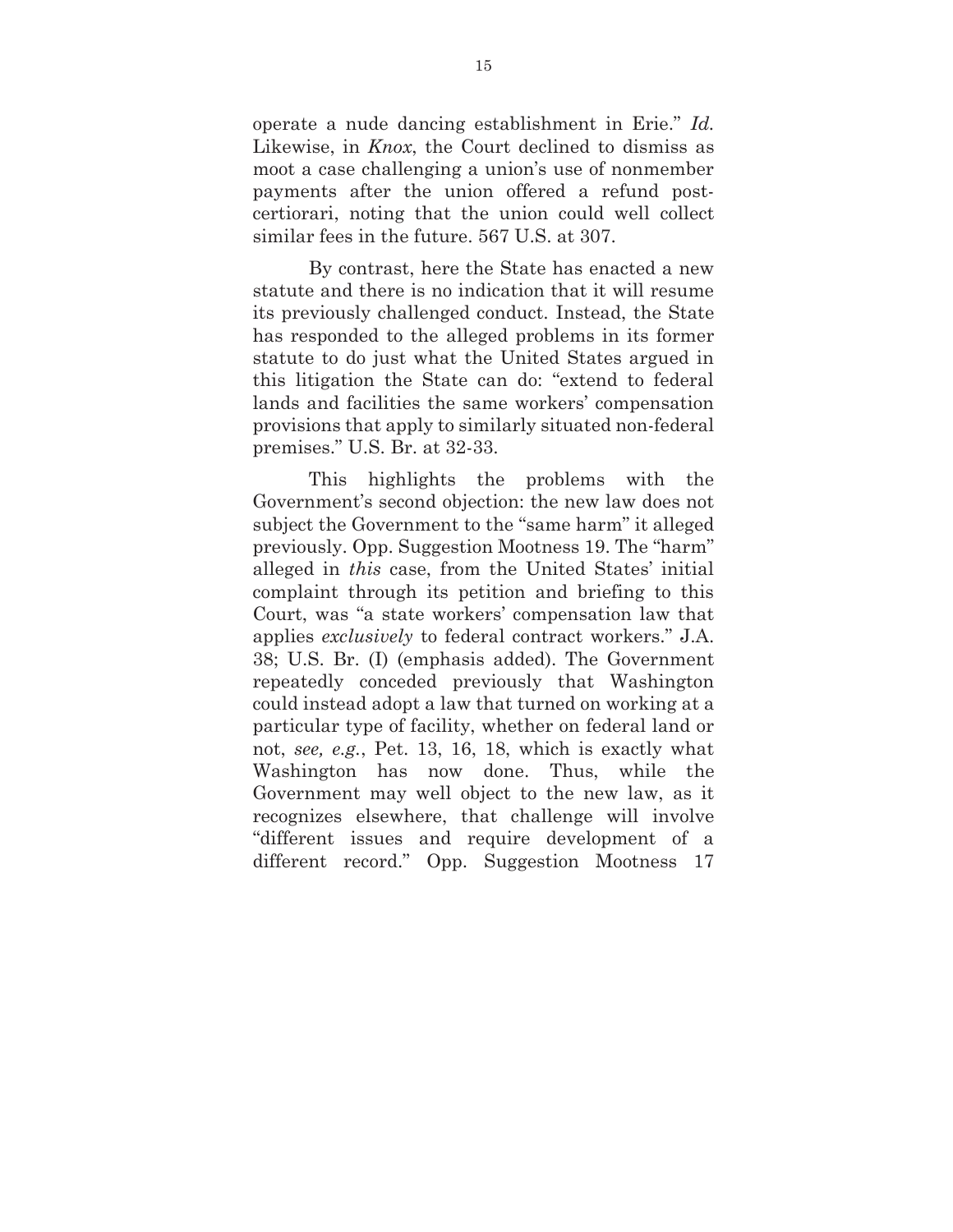operate a nude dancing establishment in Erie." *Id.* Likewise, in *Knox*, the Court declined to dismiss as moot a case challenging a union's use of nonmember payments after the union offered a refund postcertiorari, noting that the union could well collect similar fees in the future. 567 U.S. at 307.

By contrast, here the State has enacted a new statute and there is no indication that it will resume its previously challenged conduct. Instead, the State has responded to the alleged problems in its former statute to do just what the United States argued in this litigation the State can do: "extend to federal lands and facilities the same workers' compensation provisions that apply to similarly situated non-federal premises." U.S. Br. at 32-33.

This highlights the problems with the Government's second objection: the new law does not subject the Government to the "same harm" it alleged previously. Opp. Suggestion Mootness 19. The "harm" alleged in *this* case, from the United States' initial complaint through its petition and briefing to this Court, was "a state workers' compensation law that applies *exclusively* to federal contract workers." J.A. 38; U.S. Br. (I) (emphasis added). The Government repeatedly conceded previously that Washington could instead adopt a law that turned on working at a particular type of facility, whether on federal land or not, *see, e.g.*, Pet. 13, 16, 18, which is exactly what Washington has now done. Thus, while the Government may well object to the new law, as it recognizes elsewhere, that challenge will involve "different issues and require development of a different record." Opp. Suggestion Mootness 17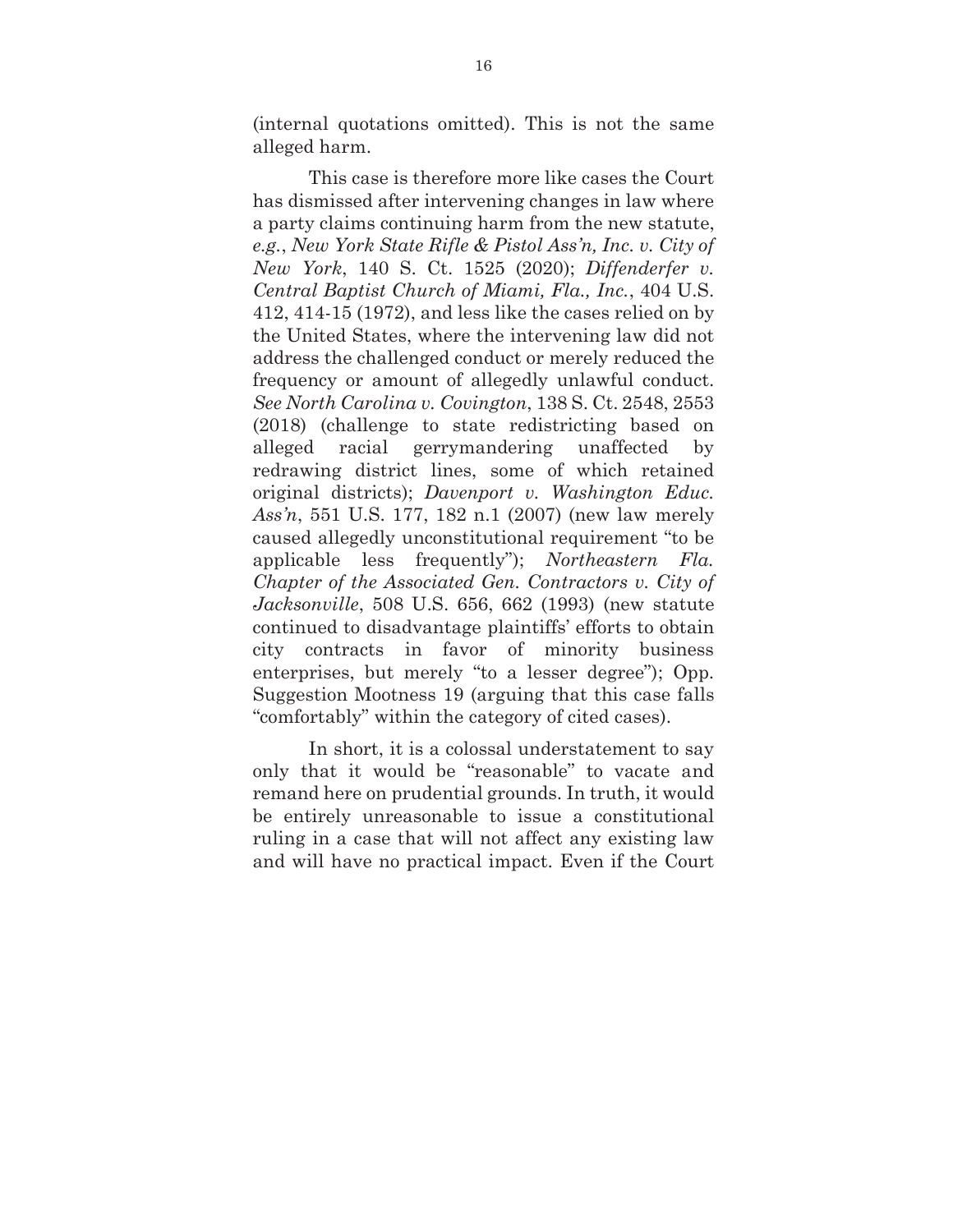(internal quotations omitted). This is not the same alleged harm.

This case is therefore more like cases the Court has dismissed after intervening changes in law where a party claims continuing harm from the new statute, *e.g.*, *New York State Rifle & Pistol Ass'n, Inc. v. City of New York*, 140 S. Ct. 1525 (2020); *Diffenderfer v. Central Baptist Church of Miami, Fla., Inc.*, 404 U.S. 412, 414-15 (1972), and less like the cases relied on by the United States, where the intervening law did not address the challenged conduct or merely reduced the frequency or amount of allegedly unlawful conduct. *See North Carolina v. Covington*, 138 S. Ct. 2548, 2553 (2018) (challenge to state redistricting based on alleged racial gerrymandering unaffected by redrawing district lines, some of which retained original districts); *Davenport v. Washington Educ. Ass'n*, 551 U.S. 177, 182 n.1 (2007) (new law merely caused allegedly unconstitutional requirement "to be applicable less frequently"); *Northeastern Fla. Chapter of the Associated Gen. Contractors v. City of Jacksonville*, 508 U.S. 656, 662 (1993) (new statute continued to disadvantage plaintiffs' efforts to obtain city contracts in favor of minority business enterprises, but merely "to a lesser degree"); Opp. Suggestion Mootness 19 (arguing that this case falls "comfortably" within the category of cited cases).

In short, it is a colossal understatement to say only that it would be "reasonable" to vacate and remand here on prudential grounds. In truth, it would be entirely unreasonable to issue a constitutional ruling in a case that will not affect any existing law and will have no practical impact. Even if the Court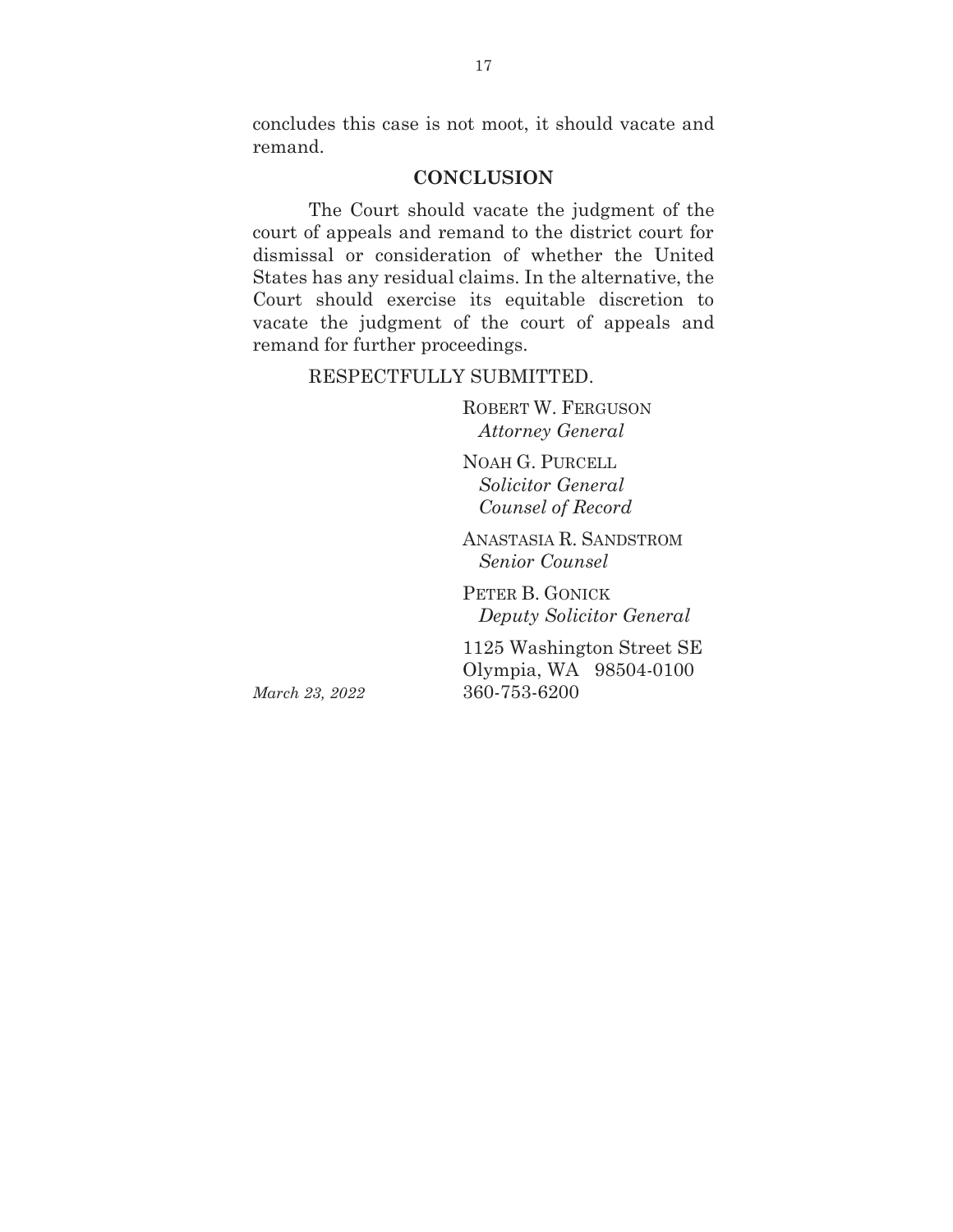concludes this case is not moot, it should vacate and remand.

### **CONCLUSION**

The Court should vacate the judgment of the court of appeals and remand to the district court for dismissal or consideration of whether the United States has any residual claims. In the alternative, the Court should exercise its equitable discretion to vacate the judgment of the court of appeals and remand for further proceedings.

#### RESPECTFULLY SUBMITTED.

ROBERT W. FERGUSON  *Attorney General* 

NOAH G. PURCELL  *Solicitor General Counsel of Record* 

ANASTASIA R. SANDSTROM  *Senior Counsel* 

PETER B. GONICK *Deputy Solicitor General*

1125 Washington Street SE Olympia, WA 98504-0100 *March 23, 2022* 360-753-6200